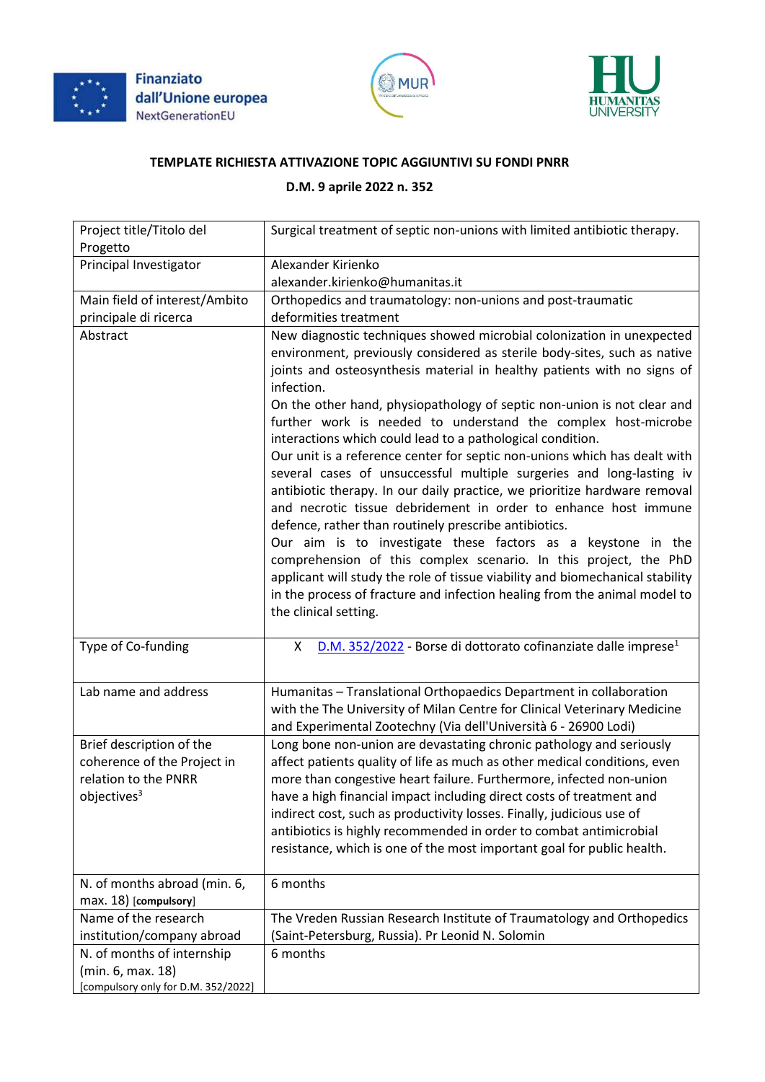





## **TEMPLATE RICHIESTA ATTIVAZIONE TOPIC AGGIUNTIVI SU FONDI PNRR**

## **D.M. 9 aprile 2022 n. 352**

| Project title/Titolo del<br>Progetto                                                                       | Surgical treatment of septic non-unions with limited antibiotic therapy.                                                                                                                                                                                                                                                                                                                                                                                                                                                                                                                                                                                                                                                                                                                                                                                                                                                                                                                                                                                                                                                                      |
|------------------------------------------------------------------------------------------------------------|-----------------------------------------------------------------------------------------------------------------------------------------------------------------------------------------------------------------------------------------------------------------------------------------------------------------------------------------------------------------------------------------------------------------------------------------------------------------------------------------------------------------------------------------------------------------------------------------------------------------------------------------------------------------------------------------------------------------------------------------------------------------------------------------------------------------------------------------------------------------------------------------------------------------------------------------------------------------------------------------------------------------------------------------------------------------------------------------------------------------------------------------------|
| Principal Investigator                                                                                     | Alexander Kirienko                                                                                                                                                                                                                                                                                                                                                                                                                                                                                                                                                                                                                                                                                                                                                                                                                                                                                                                                                                                                                                                                                                                            |
|                                                                                                            | alexander.kirienko@humanitas.it                                                                                                                                                                                                                                                                                                                                                                                                                                                                                                                                                                                                                                                                                                                                                                                                                                                                                                                                                                                                                                                                                                               |
| Main field of interest/Ambito                                                                              | Orthopedics and traumatology: non-unions and post-traumatic                                                                                                                                                                                                                                                                                                                                                                                                                                                                                                                                                                                                                                                                                                                                                                                                                                                                                                                                                                                                                                                                                   |
| principale di ricerca                                                                                      | deformities treatment                                                                                                                                                                                                                                                                                                                                                                                                                                                                                                                                                                                                                                                                                                                                                                                                                                                                                                                                                                                                                                                                                                                         |
| Abstract                                                                                                   | New diagnostic techniques showed microbial colonization in unexpected<br>environment, previously considered as sterile body-sites, such as native<br>joints and osteosynthesis material in healthy patients with no signs of<br>infection.<br>On the other hand, physiopathology of septic non-union is not clear and<br>further work is needed to understand the complex host-microbe<br>interactions which could lead to a pathological condition.<br>Our unit is a reference center for septic non-unions which has dealt with<br>several cases of unsuccessful multiple surgeries and long-lasting iv<br>antibiotic therapy. In our daily practice, we prioritize hardware removal<br>and necrotic tissue debridement in order to enhance host immune<br>defence, rather than routinely prescribe antibiotics.<br>Our aim is to investigate these factors as a keystone in the<br>comprehension of this complex scenario. In this project, the PhD<br>applicant will study the role of tissue viability and biomechanical stability<br>in the process of fracture and infection healing from the animal model to<br>the clinical setting. |
| Type of Co-funding                                                                                         | D.M. 352/2022 - Borse di dottorato cofinanziate dalle imprese <sup>1</sup><br>X                                                                                                                                                                                                                                                                                                                                                                                                                                                                                                                                                                                                                                                                                                                                                                                                                                                                                                                                                                                                                                                               |
| Lab name and address                                                                                       | Humanitas - Translational Orthopaedics Department in collaboration<br>with the The University of Milan Centre for Clinical Veterinary Medicine<br>and Experimental Zootechny (Via dell'Università 6 - 26900 Lodi)                                                                                                                                                                                                                                                                                                                                                                                                                                                                                                                                                                                                                                                                                                                                                                                                                                                                                                                             |
| Brief description of the<br>coherence of the Project in<br>relation to the PNRR<br>objectives <sup>3</sup> | Long bone non-union are devastating chronic pathology and seriously<br>affect patients quality of life as much as other medical conditions, even<br>more than congestive heart failure. Furthermore, infected non-union<br>have a high financial impact including direct costs of treatment and<br>indirect cost, such as productivity losses. Finally, judicious use of<br>antibiotics is highly recommended in order to combat antimicrobial<br>resistance, which is one of the most important goal for public health.                                                                                                                                                                                                                                                                                                                                                                                                                                                                                                                                                                                                                      |
| N. of months abroad (min. 6,<br>max. 18) [compulsory]                                                      | 6 months                                                                                                                                                                                                                                                                                                                                                                                                                                                                                                                                                                                                                                                                                                                                                                                                                                                                                                                                                                                                                                                                                                                                      |
| Name of the research                                                                                       | The Vreden Russian Research Institute of Traumatology and Orthopedics                                                                                                                                                                                                                                                                                                                                                                                                                                                                                                                                                                                                                                                                                                                                                                                                                                                                                                                                                                                                                                                                         |
| institution/company abroad                                                                                 | (Saint-Petersburg, Russia). Pr Leonid N. Solomin                                                                                                                                                                                                                                                                                                                                                                                                                                                                                                                                                                                                                                                                                                                                                                                                                                                                                                                                                                                                                                                                                              |
| N. of months of internship                                                                                 | 6 months                                                                                                                                                                                                                                                                                                                                                                                                                                                                                                                                                                                                                                                                                                                                                                                                                                                                                                                                                                                                                                                                                                                                      |
| (min. 6, max. 18)<br>[compulsory only for D.M. 352/2022]                                                   |                                                                                                                                                                                                                                                                                                                                                                                                                                                                                                                                                                                                                                                                                                                                                                                                                                                                                                                                                                                                                                                                                                                                               |